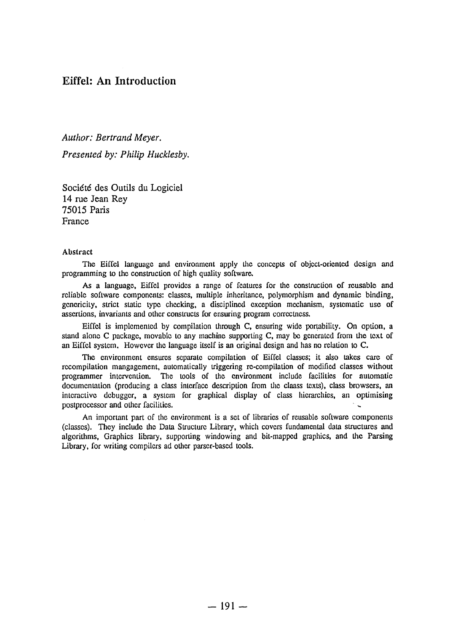# Eiffel: An Introduction

*Author: Bertrand Meyer. Presented by: Philip Hucklesby.* 

Société des Outils du Logiciel 14 rue Jean Rey 75015 Paris France

# Abstract

The Eiffel language and environment apply the concepts of object-oriented design and programming to the construction of high quality software.

As a language, Eiffel provides a range of features for the construction of reusable and reliable software components: classes. multiple inheritance. polymorphism and dynamic binding. genericity. strict static type checking. a disciplined exception mechanism. systematic use of assertions, invariants and other constructs for ensuring program correctness.

Eiffel is implemented by compilation through C. ensuring wide portability. On option. a stand alone C package, movable to any machine supporting C, may be generated from the text of an Eiffel system. However the language itself is an original design and has no relation to C.

The environment ensures separate compilation of Eiffel classes; it also takes care of recompilation mangagement, automatically triggering re-compilation of modified classes without programmer intervention. The tools of the environment include facilities for automatic documentation (producing a class interface description from the claass texts), class browsers, an interactive debugger. a system for graphical display of class hierarchies. an optimising postprocessor and other facilities.

An important part of the environment is a set of libraries of reusable software components (classes). They include the Data Structure Library. which covers fundamental data structures and algorithms. Graphics library. supporting windowing and bit-mapped graphics. and the Parsing Library. for writing compilers ad other parser-based tools.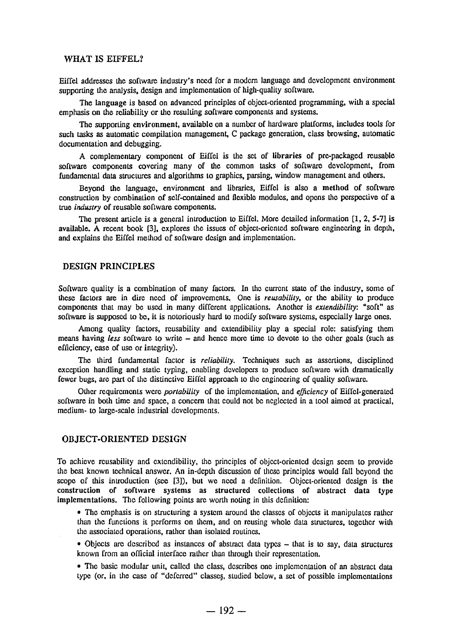### WHAT IS EIFFEL?

Eiffel addresses the software industry's need for a modern language and development environment supporting the analysis. design and implementation of high-quality software.

The language is based on advanced principles of object-oriented programming, with a special emphasis on the reliability or the resulting software components and systems.

The supporting environment, available on a number of hardware platforms, includes tools for such tasks as automatic compilation management, C package generation, class browsing, automatic documentation and debugging.

A complementary component of Eiffel is the set of libraries of pre-packaged reusable software components covering many of the common tasks of software development, from fundamental data structures and algorithms to graphics. parsing, window management and others.

Beyond the language. environment and libraries, Eiffel is also a method of software construction by combination of self-contained and flexible modules, and opens the perspective of a true *industry* of reusable software components.

The present article is a general introduction to Eiffel. More detailed information [1, 2, 5-7] is available. A recent book [3]. explores the issues of object-oriented software engineering in depth, and explains the Eiffel method of software design and implementation.

# DESIGN PRINCIPLES

Software quality is a combination of many factors. In the current state of the industry, some of these factors are in dire need of improvements. One is *reusability,* or the ability to produce components that may be used in many different applications. Another is *exlendibility:* "soft" as software is supposed to be, it is notoriously hard to modify software systems, especially large ones.

Among quality factors, reusability and extendibility play a special role: satisfying them means having *less* software to write - and hence more time to devote to the other goals (such as efficiency, ease of usc or integrity).

The third fundamental factor is *reliability.* Techniques such as assertions, disciplined exception handling and static typing, enabling developers to produce software with dramatically fewer bugs, are part of the distinctive Eiffel approach to the engineering of quality software.

Other requirements were *portabililY* of the implementation, and *efficiency* of Eiffel.generated software in both time and space, a concern that could not be neglected in a tool aimed at practical, medium- to large-scale industrial developments.

# OBJECT-ORIENTED DESIGN

To achieve reusability and extendibility, the principles of object-oriented design seem to provide the best known technical answer. An in-depth discussion of these principles would fall beyond the scope of this introduction (see [3]), but we need a definition. Object-oriented design is the construction of software systems as structured collections of abstract data type implementations. The following points are worth noting in this definition:

• The emphasis is on structuring a system around the classes of objects it manipulates rather than the functions it performs on them, and on reusing whole data structures, together with the associated opcrations, rather than isolated routines.

• Objects are described as instances of abstract data types - that is to say, data structures known from an official interface rather than through their representation.

• The basic modular unit, called the class, describes one implementation of an abstract data type (or, in the case of "defcrred" classc§, studied below, a set of possible implementations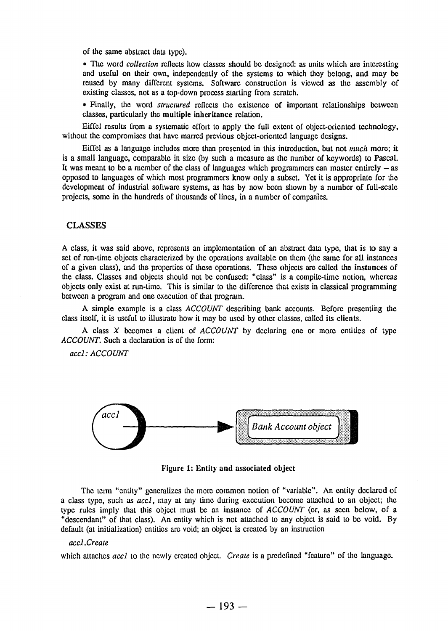of the same abslract data type).

• The word *collection* reflects how classes should be designed: as units which arc interesting and useful on their own, independently of the systems to which they belong, and may be reused by many different systems. Software construction is viewed as the assembly of existing classes, not as a top-down process starting from scratch.

• Finally, the word *structured* reflects the existence of important relationships betwccn classes, particularly the multiple inheritance relation.

Eiffel results from a systematic effort to apply the full extent of object-oriented technology, without the compromises that have marred previous object-oriented language designs.

Eiffel as a language includes more than presented in this introduction, but not *much* more; it is a small language, comparable in size (by such a measure as the number of keywords) to Pascal. It was meant to be a member of the class of languages which programmers can master entirely  $-$  as opposed to languages of which most programmers know only a subset. Yet it is appropriate for the development of industrial software systems, as has by now been shown by a number of full-scale projects, some in the hundreds of thousands of lines, in a number of companies.

### CLASSES

A class, it was said above, represents an implementation of an abstract data type, that is to say a set of run-time objects characterized by the operations available on them (the same for all instances of a given class), and the propenies of these operations. These objects are called the instances of the class. Classes and objects should not be confused: "class" is a compile-time notion, whereas objects only exist at run-lime. This is similar to the difference that exists in classical programming betwccn a program and one execution of that program.

A simple example is a class *ACCOUNT* describing bank accounts. Before presenting the class itself, it is useful to illustrate how it may be used by other classes, called its clients.

A class X becomes a client of *ACCOUNf* by declaring one or more entities of type *ACCOUNT.* Such a dcclaration is of the form:

*aeel: ACCOUNT* 



Figure 1: Entity and associated object

The term "entity" generalizes the more common notion of "variable". An entity declared of a class type, such as *aeel,* may at any time during execution become attached to an object; the type rules imply that this objcct must be an instance of *ACCOUNT* (or, as seen below, of a "descendant" of that class). An entity which is not attached to any object is said to be void. By default (at initialization) entities are void; an object is created by an instruction

### *acc1.Create*

which attaches *acc1* to the newly created object. *Create* is a predefined "feature" of the language.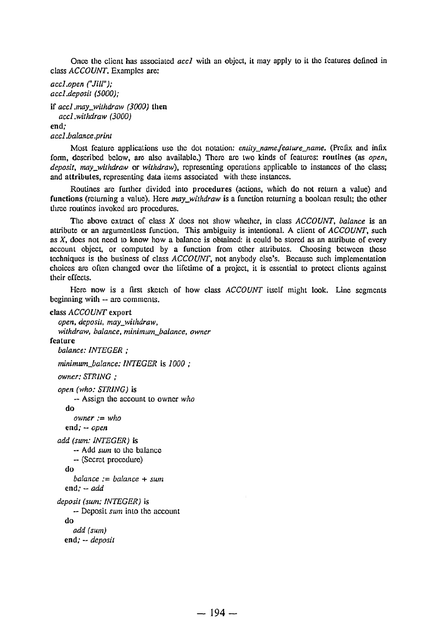Once the client has associated *accl* with an object, it may apply to it the features defined in class *ACCOUNT.* Examples are:

*aecZ.open ("Jill"); aecZ.deposit (5000);* 

if *accl.may\_withdraw (3000)* then *aeel.withdraw (3000)*  end; *aeel.balance.print* 

Most feature applications use the dot notation: *entity name. feature name.* (Prefix and infix form. described below, arc also available.) There are two kinds of features: routines (as *open, deposit, may\_withdraw* or *withdraw).* representing operations applicable to instances of the class; and attributes. representing data items associated with these instances.

Routines are further divided into procedures (actions, which do not return a value) and functions (returning a value). Here *may\_withdraw* is a function returning a boolean result; the other three routines invoked arc procedures.

The above extract of class X docs not show whether, in class *ACCOUNT, balance* is an attribute or an argumenLless function. This ambiguity is intentional. A client of *ACCOUNT,* such as  $X$ , does not need to know how a balance is obtained: it could be stored as an attribute of every account object, or computed by a function from other attributes. Choosing between these techniques is the business of class *ACCOUNr,* not anybody else's. Because such implementation choices arc often changed over the lifetime of a project, it is esscntial to protect clients against their effects.

Here now is a first sketch of how class *ACCOUNT* itself might look. Line segments beginning with -- arc comments.

class *ACCOUNT* export *open. deposit, may\_withdraw. withdraw, balance, minimum\_balance, owner*  feature *balance: INTEGER* ; *minimum\_balance: INTEGER* is *1000 ;*  owner: STRING : *open (who: STRING)* is -- Assign the account to owner *who*  do *owner:= who*  end; -. *open*  add *(sum: INTEGER)* is -- Add *sum* to the balance -- (Secret procedure) do *balance* := *balance* + *sum*  end; -- add *deposit (sum: INTEGER)* is \_. Deposit *sum* into the account do *add (sum)*  end; -. deposit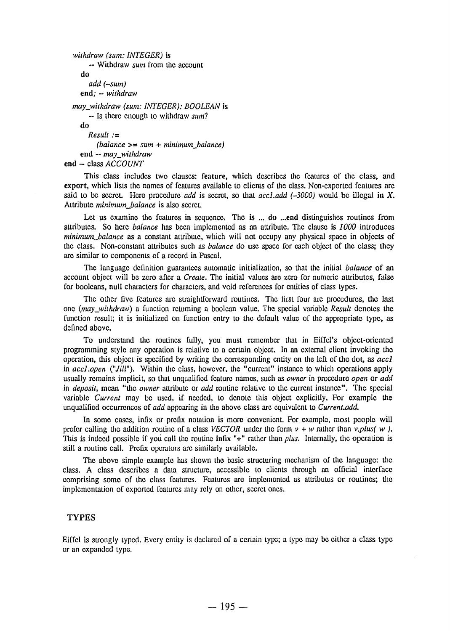```
withdraw (sum: INTEGER) is 
       -- Withdraw sum from the account 
    do 
      add (-sum) 
    end; -- withdraw 
  may_witluiraw (sum: INTEGER): BOOLEAN is 
      -- Is there enough to withdraw sum? 
    do 
      Result :=(balance >= sum + minimum_balance) 
    end -- may_withdraw 
end -. class ACCOUNT
```
This class includes two clauses: feature. which describes the features of the class, and export, which lists the names of features available to clients of the class. Non-exported features are said to be secret. Here procedure *add* is secret, so that *acel.add (-3000)* would be illegal in X. Attribute *minimum\_balance* is also secret.

Let us examine the features in sequence. The is ... do ... end distinguishes routines from attributes. So here *balance* has been implemented as an attribute. The clause is *1000* introduces *minimum\_balance* as a constant attribute, which will not occupy any physical space in objects of the class. Non-constant attributes such as *balance* do usc space for each object of the class; they are similar to components of a record in Pascal.

The language definition guarantees automatic initialization, so that the initial *balance* of an account object will be zero after a *Create.* The initial values arc zero for numeric attributes, false for booleans, null characters for characters, and void references for entities of class types.

The other five features arc straightforward routines. The first four arc procedures, the last one *(may\_withdraw)* a function returning a boolean value. The special variable *Result* denotes the function result; it is initialized on function entry to the default value of the appropriate type, as defined above.

To understand the routines fully, you must remember that in Eiffcl's object-oriented programming style any operation is relative to a certain object. In an external client invoking the operation, this object is specified by writing the corresponding entity on the left of the dot, as *acel*  in *accl.open* ("Jill"). Within the class, however, the "current" instance to which operations apply usually remains implicit, so that unqualified feature names, such as *owner* in procedure *open* or *add*  in *deposit,* mean "the *owner* attribute or *add* routine relative to the current instance". The spccial variable *Current* may be used, if needed, to denote this object explicitly. For example the unqualified occurrences of *add* appearing in the above class arc equivalent to *Current. add.* 

In some cases, infix or prefix notation is more convenient. For example, most people will prefer calling the addition routine of a class *VECTOR* under the form  $v + w$  rather than  $v. plus (w)$ . This is indeed possible if you call the routine infix "+" rather than *plus*. Internally, the operation is still a routine call. Prefix operators arc similarly available.

The above simple example has shown the basic structuring mechanism of the language: the class. A class describes a data structure, accessible to clients through an official interface comprising some of the class features. Features are implemcnted as attributes or routines; the implementation of exported features may rely on other, secret ones.

#### TYPES

Eiffel is strongly typed. Every entity is declared of a certain type; a type may be either a class type or an expanded type.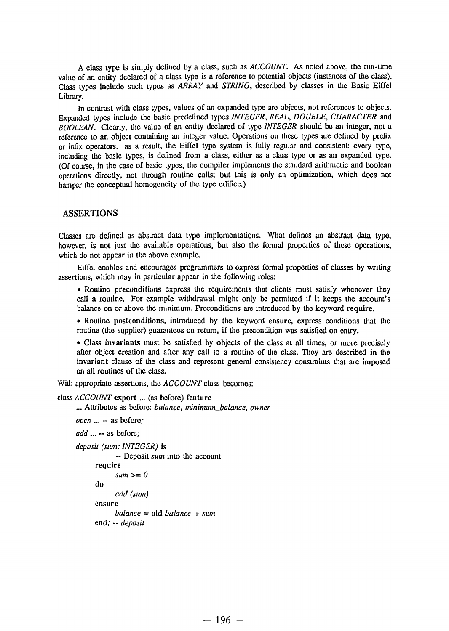A class type is simply defined by a class, such as *ACCOUNT. As* noted above, the run-time value of an entity dcclarcd of a class type is a reference to potential objects (instances of the class). Class types include such types as *ARRAY* and *STRING,* described by classes in the Basic Eiffel Library.

In contrast with class types, values of an expanded type are objects, not references to objects. Expanded types include the basic predefined types *INTEGER, REAL, DOUBLE, ClIARACTER* and *BOOLEAN.* Clearly, the value of an entity declared of type *INTEGER* should be an integer, not a reference to an object containing an integer value. Operations on these types are defined by prefix or infix operators. as a result, the Eiffel type system is fully regular and consistent: every type, including the basic types, is defined from a class, either as a class type or as an expanded type. (Of course, in the case of basic types, the compiler implements the standard arithmetic and boolean operations directly, not through routine calls; but this is only an optimization, which docs not hamper the conceptual homogeneity of the type edifice.)

### ASSERTIONS

Classes arc defined as abstract data type implementations. What defines an abstract data type, however, is not just lhe available operations, but also the formal properties of these operations, which do not appear in the above example.

Eiffel enables and encourages programmers to express formal properties of classes by writing assertions, which may in particular appear in the following roles:

• Routine preconditions express the requirements that clients must satisfy whenever they call a routine. For example withdrawal might only be permitted if it keeps the account's balance on or above the minimum. Preconditions are introduced by the keyword require.

• Routine postconditions, introduced by the keyword ensure, express conditions that the routine (the supplier) guarantees on return, if the precondition was satisfied on entry.

• Class invariants must be satisfied by objects of the class at all times, or more precisely after object creation and after any call to a routine of the class. Thcy are described in the invariant clause of the class and represent general consistency constraints that arc imposed on all routines of the class.

With appropriate assertions, the *ACCOUNT* class becomes:

```
class ACCOUNT export ... (as bcfore) feature
```
... Attributes as before: *balance, minimum\_balance, owner* 

```
open ... -- as before,'
```

```
add ... -- as before;
```

```
deposit (sum: INTEGER) is 
           -- Deposit sum into the account
     require 
           sum >= 0do
```

```
add (sum)
```
ensure

```
balance = old balance + sum 
end; _. deposit
```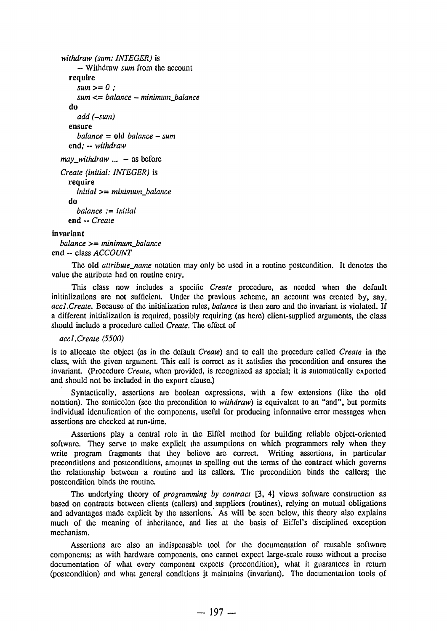```
withdraw (sum: INTEGER) is 
    -- Withdraw sum from the account 
  require 
    sum >= 0:
    sum <= balance - minimum_balance 
  do 
    add (-sum) 
  ensure 
    balance = old balance - sum 
  end; -- withdraw 
may_withdraw ... -- as before 
Create (initial: INTEGER) is 
  require 
    initial >= minimum_balance 
  do 
    balance := initial 
  end -- Create
```
#### invariant

*balance* >= *minimum\_balance*  end -- class *ACCOUNT* 

The old *attribute\_name* notation may only be used in a routine postcondition. It denotes the value the attribute had on routine entry.

This class now includes a specific *Create* procedure, as needed when the default initializations arc not sufficient. Under the previous scheme, an account was created by, say, *aeel.Create.* Because of the initialization rules, *balance* is then zero and the invariant is violated. If a different initialization is required, possibly requiring (as here) client-supplied arguments, the class should include a procedure called *Create.* The effect of

#### *aeel.Create (5500)*

is to allocate the object (as in the default *Create)* and to call the procedure called *Create* in the class, with the given argument. This call is correct as it satisfies the precondition and ensures the invariant. (Procedure *Create,* when provided, is recognized as special; it is automatically exported and should not be included in the export clause.)

Syntactically, assertions are boolean expressions, with a few extensions (like the old notation). The semicolon (sec the precondition to *withdraw)* is equivalent to an "and", but permits individual identification of the components, useful for producing informative error messages when assertions are checked at run-time.

Assertions play a central role in the Eiffel method for building reliable object-oriented software. They serve to make explicit the assumptions on which programmers rely when they write program fragments that they believe arc correct. Writing assertions, in particular preconditions and postconditions, amounts to spelling out the terms of the contract which governs the relationship between a routine and its callers. The precondition binds the callers; the postcondition binds the routine.

The underlying theory of *programming by contract* [3, 4] views software construction as based on contracts between clients (callers) and suppliers (routines), relying on mutual obligations and advantages made explicit by the assertions: As will be seen below, this theory also explains much of the meaning of inheritance, and lies at the basis of Eiffel's disciplined exception mechanism.

Assertions are also an indispensable Lool for the documentation of reusable software components: as with hardware components. one cannot expect large-scale reuse without a precise documentation of what every component expects (precondition), what it guarantees in return (postcondition) and what general conditions it maintains (invariant). The documentation tools of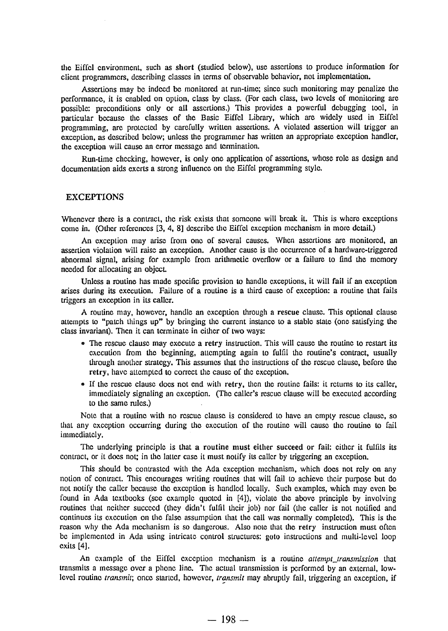the Eiffcl environment, such as short (studied below), use assertions to produce information for client programmers, describing classes in terms of observable behavior, not implementation.

Assertions may be indeed be monitored at run-time; since such monitoring may penalize the performance, it is enabled on option, class by class. (For each class, two levels of monitoring are possible: preconditions only or all assertions.) This provides a powerful debugging tool, in particular because the classes of the Basic Eiffel Library, which arc widcly used in Eiffel programming, are protected by carefully written assertions. A violated assertion will trigger an exception, as described below; unless the programmer has written an appropriate exception handler, the exception will cause an error message and termination.

Run-time checking, however, is only one application of assertions, whose role as design and documentation aids exerts a strong influence on the Eiffcl programming style.

### EXCEPTIONS

Whenever there is a contract, the risk exists that someone will break it. This is where exceptions come in. (Other references [3, 4, 8] describe the Eiffel exception mechanism in more detail.)

An exception may arise from one of several causes. When assertions are monitored, an assertion violation will raise an exception. Another cause is the occurrence of a hardware-triggered abnormal signal, arising for example from arithmetic overflow or a failure to find the memory needed for allocating an object.

Unless a routine has made specific provision to handle exceptions, it will fail if an exception arises during its execution. Failure of a routine is a third cause of exception: a routine that fails triggers an exception in its calIer.

A routine may, however, handle an exception through a rescue clause. This optional clause allempts to "patch things up" by bringing the current instance to a stable state (one satisfying the class invariant). Then it can terminate in either of two ways:

- The rescue clause may execute a retry instruction. This will cause the routine to restart its execution from the beginning, attempting again to fulfil the routine's contract, usually through another strategy. This assumes that the instructions of the rescue clause, before the retry, have attempted to correct the cause of the exception.
- If the rescue clause does not end with retry, then the routine fails: it returns to its caller, immediately signaling an exception. (The caller's rescue clause will be executed according to the same rules.)

Note that a routine with no rescue clause is considered to have an empty rescue clause, so that any exception occurring during the execution of the routine will cause the routine to fail immediately.

The underlying principle is that a routine **must** either succeed or fail: either it fulfils its contract. or it docs not; in the latter case it must notify its caller by triggering an exception.

This should be contrasted with the Ada exception mechanism, which does not rely on any notion of contract. This encourages writing routines that will fail to achieve their purpose but do not notify the caller because the exception is handled locally. Such examples, which may even be found in Ada textbooks (see example quoted in [4]), violate the above principle by involving routines that neither succeed (they didn't fulfil their job) nor fail (the caller is not notified and continues its execution on the false assumption that the call was normally completed). This is the reason why the Ada mechanism is so dangerous. Also note that the retry instruction must often be implemented in Ada using intricate control structures: goto instructions and multi-level loop exits [4].

An example of the Eiffel exception mechanism is a routine *attempt* transmission that transmits a message over a phone line. The actual transmission is performed by an external, lowlevel routine *transmit*; once started, however, *transmit* may abruptly fail, triggering an exception, if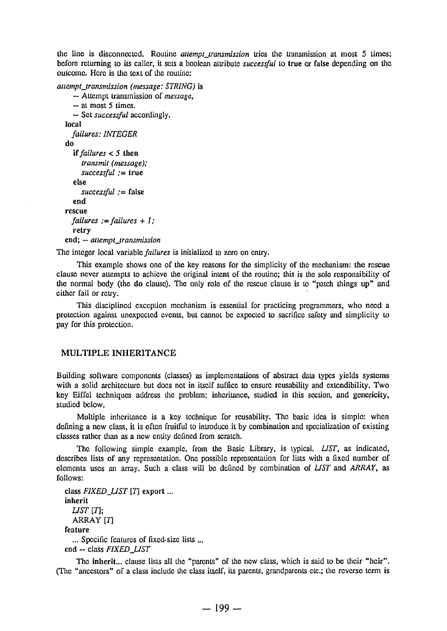the line is disconnected. Routine *attempt\_transmission* tries the transmission at most 5 times; before returning to its caller, it sets a boolean attribute *successful* to true or false depending on the outcome. Here is the text of the routine:

*attempt\_transmission (message: STRING)* is

```
-- Attempt transmission of message, 
  -- at most 5 times. 
  -- Set successful accordingly. 
local 
  failures: INTEGER 
do 
  if failures < 5 then 
     transmit (message),' 
     successful := true 
  else 
     successful := false 
  end 
rescue 
 failures := failures + 1;retry 
end; -- attempt_transmission
```
The integer local variable *failures* is initialized to zero on entry.

This example shows one of the key reasons for the simplicity of the mechanism: the rescue clause never attempts to achieve the original intent of the routine; this is the sole responsibility of the normal body (the do clause). The only role of the rescue clause is to "patch things up" and either fail or retry.

This disciplined exception mechanism is essential for practicing programmers, who need a protection against unexpected events, but cannot be expected to sacrifice safety and simplicity to pay for this protection.

### MULTIPLE INHERITANCE

Building software components (classes) as implementations of abstract data types yields systems with a solid architecture but does not in itself suffice to ensure reusability and extendibility. Two key Eiffel tcchniques address the problem: inheritance, studied in this section, and genericity, studied below.

Multiple inheritance is a key technique for reusability. The basic idea is simple: when defining a new class, it is often fruitful to introduce it by combination and specialization of existing classes rather than as a new entity defined from scratch.

The following simple example, from the Basic Library, is typical. *liST,* as indicated, describes lists of any representation. One possible representation for lists with a fixed number of elements uses an array. Such a class will be defined by combination of *UST* and *ARRAY,* as follows:

```
class FIXED_LIST [T] export ...
inherit 
  LIST [T];
  ARRAY [T]
feature 
  ... Specific features of fixed-size lists ... 
end -- class FIXED_LIST
```
The inherit... clause lists all the "parents" of the new class, which is said to be their "heir". (The "ancestors" of a class include the class itself, its parents, grandparents etc.; the reverse term is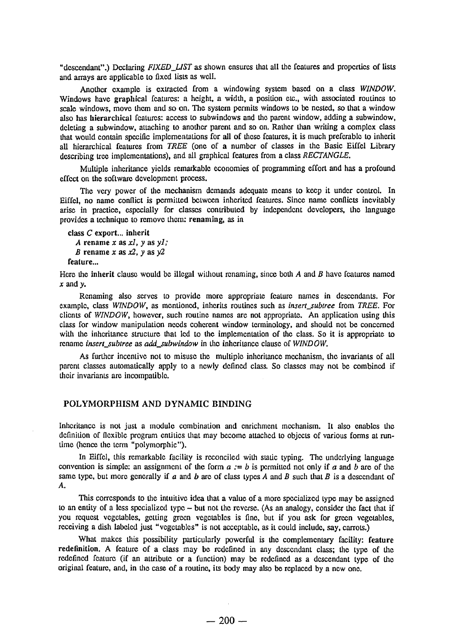"descendant".) Declaring *FIXED \_UST* as shown ensures that all thc features and propertics of lists and arrays are applicable to fixed lists as well.

Another example is extracted from a windowing system based on a class *WINDOW.*  Windows have graphical features: a height, a width, a position etc., with associated routines to scale windows, move them and so on. Thc system permits windows to be nested, so that a window also has hierarchical features: access to subwindows and the parent window, adding a subwindow, deleting a subwindow, attaching to another parent and so on. Rather than writing a complex class that would contain specific implementations for all of these featurcs, it is much preferable to inherit all hierarchical features from *TREE* (one of a number of classes in the Basic Eiffel Library describing tree implementations). and all graphical features from a class *RECTANGLE.* 

Multiple inheritance yields remarkable economies of programming effort and has a profound effect on the software development process.

The very power of the mechanism demands adequate means to keep it under control. In Eiffel, no name conflict is permitted between inherited features. Since name conflicts inevitably arise in practice, especially for classes contributed by independent developers, the language provides a technique to remove them: renaming, as in

```
class C export... inherit
  A rename x as xl, Y as yl,· 
  E rename x as x2, y as y2 
feature...
```
Here the inherit clause would be illegal without renaming, since both  $A$  and  $B$  have features named  $x$  and  $y$ .

Renaming also serves to provide more appropriate feature names in descendants. For example, class *WINDOW*, as mentioned, inherits routines such as *insert\_subtree* from *TREE*. For clients of *WINDOW.* however. such routine names arc not appropriate. An application using this class for window manipulation needs coherent window terminology, and should not be concerned with the inheritance structure that led to the implementation of the class. So it is appropriate to rename *insert\_subtree* as *add\_subwindow* in the inheritance clause of *WINDOW*.

As further incentive not to misuse the multiple inheritance mechanism. the invariants of all parent classes automatically apply to a newly defined class. So classes may not be combined if their invariants arc incompatible.

### POLYMORPHISM AND DYNAMIC BINDING

Inheritance is not just a module combination and enrichment mechanism. It also enables the definition of flexible program entities that may become attached to objects of various forms at runtime (hence the term "polymorphic").

In Eiffel, this remarkable facility is reconciled with static typing. The underlying language convention is simple: an assignment of the form  $a := b$  is permitted not only if  $a$  and  $b$  are of the same type, but more generally if  $a$  and  $b$  are of class types  $A$  and  $B$  such that  $B$  is a descendant of *A.* 

This corresponds to thc intuitive idea that a value of a more specialized type may be assigned to an entity of a less specialized type - but not the reverse. (As an analogy, consider the fact that if you request vegetables, getting green vegetables is fine, but if you ask for green vegetables, receiving a dish labeled just "vegetables" is not acceptable. as it could include, say, carrots.)

What makes this possibility particularly powerful is the complementary facility: feature redefinition. A feature of a class may be redefined in any descendant class; the type of the redefined feature (if an attribute or a function) may be redefined as a descendant type of the original feature. and, in the case of a routine, its body may also be replaced by a new one.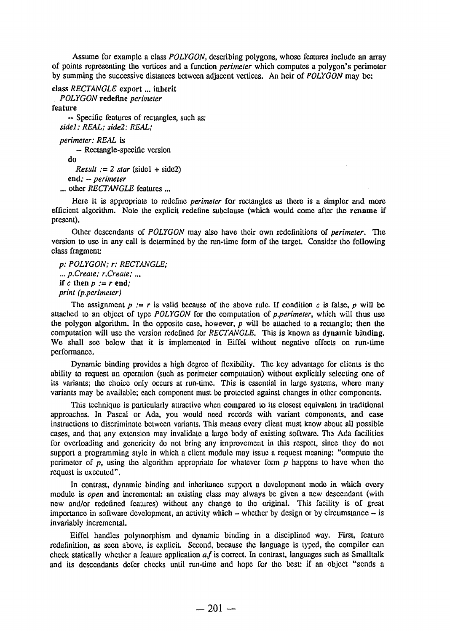Asswne for example a class *POLYGON,* describing polygons, whose features include an array of points representing the vertices and a function *perimeter* which computes a polygon's perimeter by swnming the successive distances between adjacent vertices. An heir of *POLYGON* may be:

class *RECTANGLE* export ... inherit

*POLYGON* redefine *perimeter* 

feature

-- Specific features of rectangles, such as: *side1: REAL; side2: REAL,'* 

*perimeter: REAL* is -- Rectangle-specific version do  $Result := 2 \, star \, (side1 + side2)$ end,' -- *perimeter*  ... other *RECTANGLE* features ...

Here it is appropriate to redefine *perimeter* for rectangles as there is a simpler and more efficient algorithm. Note the explicit redefine subclause (which would come after the rename if present).

Other descendants of *POLYGON* may also have their own redefinitions of *perimeter.* The version to use in any call is determined by the run-time form of the target. Consider the following class fragment:

*p: POLYGON,' r: RECTANGLE,'*  ... *p.Create; r.Create;* ... if *c* then  $p := r$  end, *print (p.perimeter)* 

The assignment  $p := r$  is valid because of the above rule. If condition c is false, p will be attached to an object of type *POLYGON* for the computation of *p.perimeter,* which will thus usc the polygon algorithm. In the opposite case, however,  $p$  will be attached to a rectangle; then the computation will use the version redefined for *RECTANGLE*. This is known as dynamic binding. We shall see below that it is implemented in Eiffel without negative effects on run-time performance.

Dynamic binding provides a high degree of flexibility. The key advantage for clients is the ability to request an operation (such as perimeter computation) without explicitly selecting one of its variants; the choice only occurs at run-time. This is essential in large systems, where many variants may be available; each component must be protected against changes in other components.

This technique is particularly attractive when compared to its closest equivalent in traditional approaches. In Pascal or Ada, you would need records with variant components. and case instructions to discriminate between variants. This means every client must know about all possible cases, and that any extension may invalidate a large body of existing software. The Ada facilities for overloading and genericity do not bring any improvement in this respect, since they do not support a programming style in which a client module may issue a request meaning: "compute the perimeter of  $p$ , using the algorithm appropriate for whatever form  $p$  happens to have when the request is executcd".

In contrast, dynamic binding and inheritance support a development mode in which every module is *open* and incremental: an existing class may always be given a new descendant (with new and/or redefined features) without any change to the original. This [acility is of great importance in software development, an activity which  $-$  whether by design or by circumstance  $-$  is invariably incremental.

Eiffcl handles polymorphism and dynamic binding in a disciplined way. First. feature redefinition, as seen above, is explicit. Second, beeause the language is typed, the compiler can check statically whether a feature application  $af$  is correct. In contrast, languages such as Smalltalk and its descendants defer checks until run-time and hope for the best: if an object "sends a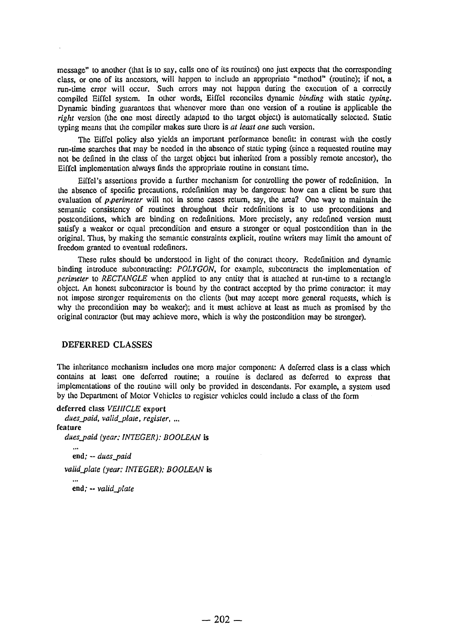message" to another (that is to say, calls one of its routines) one just expects that the corresponding class, or one of its ancestors, will happen to include an appropriate "method" (routine); if not. a run-time error will occur. Such errors may not happen during the execution of a correctly compiled Eiffel system. In other words, Eiffel reconciles dynamic *binding* with static typing. Dynamic binding guarantees that whenever more than one version of a routine is applicable the *right* version (the one most directly adapted to the target object) is automatically selected. Static typing means that the compiler makes sure there is *at least one* such version.

The Biffel policy also yields an important performance benefit: in contrast with the costly run-time searches that may be needed in the absence of static typing (since a requested routine may not be defined in the class of the target object but inherited from a possibly remote ancestor), the Eiffel implementation always finds the appropriate routine in constant time.

Biffel's assertions provide a further mechanism for controlling the power of redefinition. In the absence of specific precautions, redefinition may be dangerous: how can a client be sure that evaluation of *p.perimeler* will not in some cases return, say, the area? One way to maintain the semantic consistency of routines throughout their redefinitions is to use preconditions and postconditions, which arc binding on redefinitions. More precisely, any redefined version must satisfy a weaker or equal precondition and ensure a stronger or equal postcondition than in the original. Thus. by making the semantic constraints explicit, routine writers may limit the amount of freedom granted to eventual redefiners.

These rules should be understood in light of the contract theory. Redefinition and dynamic binding introduce subcontracting: *POLYGON*, for example, subcontracts the implementation of *perimeter* to *RECTANGLE* when applied to any entity that is attached at run-time to a rectangle object. An honest subcontractor is bound by the contract accepted by the prime contractor: it may not impose stronger requirements on the clients (but may accept more general requests, which is why the precondition may be weaker); and it must achieve at least as mueh as promised by the original contractor (but may achieve more, which is why the postcondition may be stronger).

### DEFERRED CLASSES

The inheritance mechanism includes one more major component: A deferred class is a class which contains at least one deferred routine; a routine is declared as deferred to express that implementations of the routine will only be provided in descendants. For example, a system used by the Department of Motor Vehicles to register vehicles could include a class of the form

deferred class *VElllCLE* export *dues\_paid, valid\_plate, register, ...* feature dues\_paid (year: INTEGER): BOOLEAN is end: -- *dues* paid *valid\_plate (year: INTEGER): BOOLEAN* is end; -- *valid plate*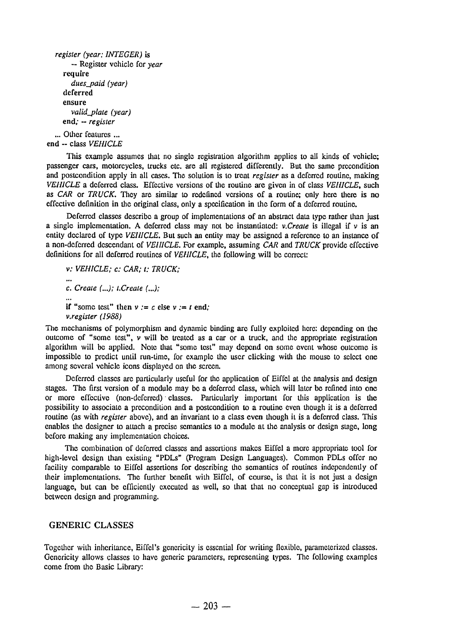```
register (year: INTEGER) is 
     -- Register vehicle for year 
  require 
     dues paid (year)
  deferred 
  ensure 
     valid_plate (year)
  end; -- register 
... Other features ...
```
end -- class *VElllCLE* 

This example assumes that no single registration algorithm applies to all kinds of vehicle; passenger cars, motorcycles, trucks etc. arc all registered differently. But the same precondition and postcondition apply in all cases. The solution is to treat *register* as a deferred routine, making *VEHICLE* a deferred class. Effective versions of the routine arc given in of class *VEJlJCLE,* such as *CAR* or *TR UCK.* They are similar to redefined versions of a routine; only here there is no effective definition in the original class, only a specification in the form of a deferred routine.

Deferred classes describe a group of implementations of an abstract data type rather than just a single implementation. A deferred class may not be instantiated: *v.Creale* is illegal if v is an entity declared of type *VEIl/CLE.* But such an entity may be assigned a refcrence to an instance of a non-deferred descendant of *VEIlICLE.* For example, assuming *CAR* and *TRUCK* provide effective definitions for all deferred routines of *VEIJICLE,* the following will be correct:

v: *VEHICLE;* c: *CAR,' t: TRUCK;*   $\ddotsc$ c. *Create* ( ... ); I. *Create* ( ... ); if "some test" then  $v := c$  else  $v := t$  end; *v.register (1988)* 

The mechanisms of polymorphism and dynamic binding arc fully exploited here: depending on the outcome of "some test", *v* will be treated as a car or a truck, and the appropriate registration algorithm will be applied. Note that "some test" may depend on some event whose outcome is impossible to predict until run-time, for example the user clicking with the mouse to select one among several vehicle icons displayed on the screen.

Deferred classes arc particularly useful for the application of Eiffel at the analysis and design stages. The first version of a module may be a deferred class, which will later be refined into one or more effective (non-deferred) classes. Particularly important for this application is the possibility to associate a precondition and a postcondition to a routine even though it is a deferred routine (as with *register* above), and an invariant to a class even though it is a deferred class. This enables the designer to attach a precise semantics to a module at the analysis or design stage, long before making any implementation choices.

The combination of deferred classes and assertions makes Eiffel a more appropriate tool for high-level design than existing "PDLs" (Program Design Languages). Common PDLs offer no facility comparable to Eiffel assertions for describing the semantics of routines independently of their implementations. The further benefit with Eiffel, of course, is that it is not just a design language, but can be efficiently executed as well, so that that no conceptual gap is introduced between design and programming.

# GENERIC CLASSES

Togethcr with inheritance, Eiffel's genericity is essential for writing flexible, parameterized classes. Genericity allows classes to have generic parameters, representing types. The following examples come from the Basic Library: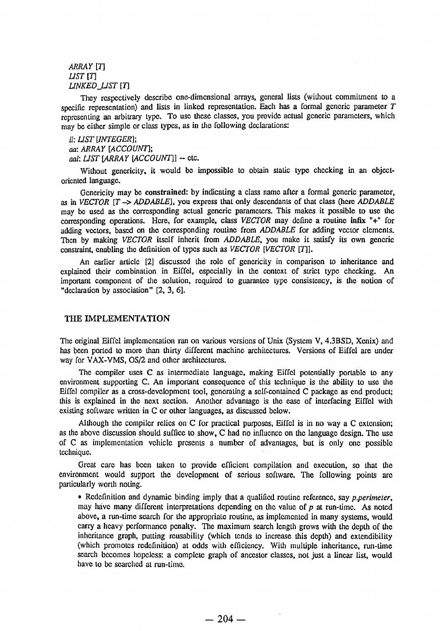# *ARRAY* [1]  $LIST$   $[T]$ *LINKED\_LIST* [T]

They respectively describe one-dimensional arrays, general lists (without commitment to a specific representation) and lists in linked representation. Each has a formal generic parameter *T*  representing an arbitrary type. To use these classes, you provide actual generic parameters, which may be eilher simple or class types, as in the following declarations:

il: *UST [INTEGER];*  aa: **ARRAY** [ACCOUNT]; oof: *UST [ARRAY [ACCOUNTJ]* -- etc.

Without genericity, it would be impossible to obtain static type checking in an objectoriented language.

Genericity may be constrained: by indicating a class name after a formal generic parameter, as in *VECTOR [T* -> *ADDABLE],* you express that only descendants of that class (here *ADDABLE*  may be used as the corresponding actual generic parameters. This makes it possible to use the corresponding operations. Here, for example. class *VECTOR* may define a routine infix "+" for adding vectors, based on the corresponding routine from *ADDABLE* for adding vector elements. Then by making *VECTOR* itself inherit from *ADDABLE*, you make it satisfy its own generic constraint, enabling the definition of types such as *VECTOR [VECTOR* [1]].

An earlier article [2] discussed the role of genericity in comparison to inheritance and explained their combination in Eiffel, especially in the context of strict type checking. An important component of the solution, required to guarantee type consistency, is the notion of "declaration by association" [2, 3, 6].

# THE IMPLEMENTATION

The original Eiffel implementation ran on various versions of Unix (System V, 4.3BSD, Xenix) and has been ported to more than thirty different machine architectures. Versions of Eiffel are under way for VAX-VMS, OS/2 and other architectures.

The compiler uses C as intermediate language, making Eiffel potentially portable to any environment supporting C. An important consequence of this technique is the ability to use the Eiffel compiler as a cross-development tool, generating a self-contained C package as end product; this is explained in the next section. Another advantage is the ease of interfacing Eiffel with existing software written in C or other languages, as discussed below.

Allhough the compiler relics on C for practical purposes, Eiffel is in no way a C extension; as the above discussion should suffice to show. C had no influence on the language design. The use of C *as* implementation vehicle presents a number of advantages, but is only one possible tcchnique.

Great care has been taken to provide efficient compilation and execution, so that the environment would support the development of serious software. The following points are particularly worth noting.

• Redefinition and dynamic binding imply that a qualified routine reference, say *p.perimeter,*  may have many different interpretations depending on the value of *p* at run-time. As noted above, a run-time search for the appropriate routine, as implemented in many systems, would carry a heavy perfonnance penally. The maximum search length grows with the depth of the inheritance graph, putting reusability (which tends to increase this depth) and extendibility (which promotes redefinition) at odds with efficiency. With multiple inheritance, run-time search bccomes hopeless: a complete graph of ancestor classes, not just a linear list, would have to be searched at run-time.

 $-204-$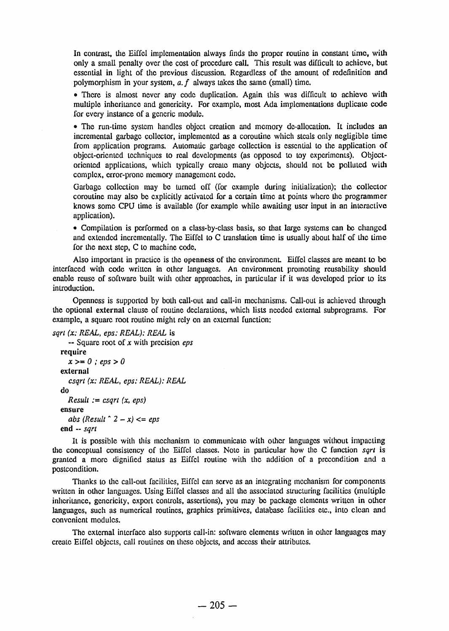In contrast, the Eiffel implementation always finds the proper routine in constant time, with only a small penalty over the cost of procedure call. This result was difficult to achieve, but essential in light of the previous discussion. Regardless of the amount of redefinition and polymorphism in your system, *a. f* always takes the same (small) time.

• There is almost never any code duplication. Again this was difficult to achieve with multiple inheritance and genericity. For example, most Ada implementations duplicate code for every instance of a generic module.

• The run-time system handles object creation and memory dc-allocation. It includes an incremental garbage collector, implemented as a coroutine which steals only negligible time from application programs. Automatic garbage collection is essential to the application of object-oriented techniques to real developments (as opposed to toy experiments). Objectoriented applications, which typically create many objects, should not be polluted with complex, error-prone memory management code.

Garbage collection may be turned off (for example during initialization); the collector coroutine may also be explicitly activated for a certain time at points where the programmer knows some CPU time is available (for example while awaiting user input in an interactive application).

• Compilation is performed on a class-by-class basis, so that large systems can be changed and extended incrementally. The Eiffel to  $C$  translation time is usually about half of the time for the next step, C to machine code.

Also important in practice is the openness of the environment Eiffel classes are meant to be interfaced with code written in other languages. An environment promoting reusability should enable reuse of software built with other approaches, in particular if it was devcloped prior to its introduction.

Openness is supported by both call-out and call-in mechanisms. Call-out is achieved through the optional external clause of routine declarations, which lists needed external subprograms. For example, a square root routine might rely on an external function:

```
sqrt (x: REAL, eps: REAL): REAL is 
     -- Square root of x with precision cps
```

```
require 
  x >= 0; eps > 0
external 
  csqrt (x: REAL, eps: REAL): REAL 
do 
  Result := csqrt(x, eps)ensure 
  abs (Result \hat{2} - x) \leq <i>eps
end -- sqrt
```
It is possible with this mechanism to communicate with other languages without impacting the conceptual consistency of the Eiffel classes. Note in particular how the C function *sqrt* is granted a more dignified status as Eiffel routine with the addition of a precondition and a postcondition.

Thanks to the call-out facilities, Eiffel can serve as an integrating mechanism for components written in other languages. Using Eiffel classes and all the associated structuring facilities (multiple inheritance, genericity, export controls, assertions), you may be package elements written in other languages, such as numerical routines, graphics primitives, database facilities etc., into clean and convenient modules.

The external interface also supports call-in: software clements written in other languages may create Eiffel objects, call routines on these objects, and access their attributes.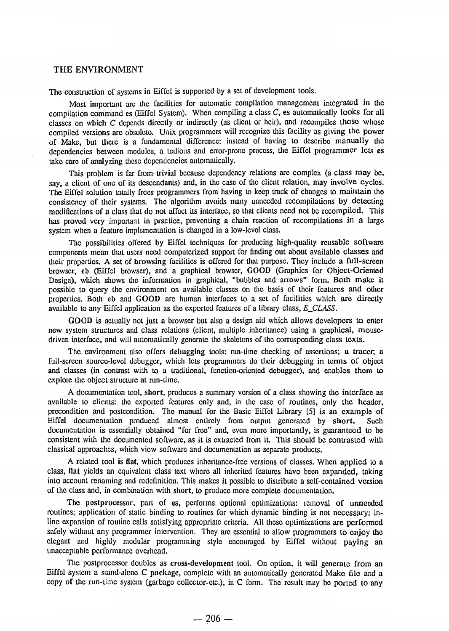#### THE ENVIRONMENT

The construction of systems in Eiffel is supported by a set of development tools.

Most important arc the facilities for automatic compilation management integrated in the compilation command es (Eiffel System). When compiling a class C, es automatically looks for all classes on which  $C$  depends directly or indirectly (as client or heir), and recompiles those whose compiled versions are obsolete. Unix programmers will recognize this facility as giving the power of Make. but there is a fundamental difference: instead of having to describe manually the dependencies between modules, a tedious and error-prone process, the Eiffel programmer lets es take care of analyzing these dependencies automatically.

This problem is far from· trivial because dependency relations arc complex (a class may be, say, a client of one of its descendants) and, in the case of the client relation, may involve cycles. The Eiffel solution totally frees programmers from having to keep track of changes to maintain the consistency of their systems. The algorithm avoids many unnecded recompilations by detecting modifications of a class that do not affect its interface, so that clients need not be recompiled. This has proved very important in practice, preventing a chain reaction of rccompilations in a large system when a feature implementation is changed in a low-level class.

The possibilities offered by Eiffcl techniques for producing high-quality reusable software components mean that users need computerized support for finding out about available classes and their propcrlies. A set of browsing facilities is offered for that purpose. They include a full-screen browser, eb (Eiffel browser). and a graphieal browser, GOOD (Graphics for Object-Oriented Design), which shows the information in graphical, "bubbles and arrows" form. Both make it possible to query the environment on available classes on the basis of their features and other properties. Both eb and GOOD arc human interfaecs to a set of facilities which are directly available to any Eiffel application as the exported features of a library class, *E\_CLASS*.

GOOD is actually not just a browser but also a design aid which allows developers to enter new system structures and class relations (client, multiple inheritance) using a graphical, mousedriven interface, and will automatically generate the skeletons of the corresponding class texts.

The environment also offers debugging tools: run-time checking of assertions; a tracer; a full-screen source-level debugger, which lets programmers do their debugging in tenns of object and classes (in contrast with to a traditional, function-oriented debugger), and enables them to explore the object structure at run-time.

A documentation tool, short, produces a summary version of a class showing the interface as available to clients: the exported features only and, in the case of routines, only the header, precondition and postcondition. The manual for the Basic Eiffel Library [5] is an example of Eiffel documentation produced almost entirely from output generated by short. Such documentation is essentially obtained "for frcc" and, even more importantly, is guaranteed to be consistent with the documented software, as it is extracted from it. This should be contrasted with classical approaches, which view software and documentation as separate products.

A related tool is flat, which produces inheritance-free versions of classes. When applied to a class, flat yields an equivalent class text where all inherited features have been expanded, taking into account renaming and redefinition. This makes it possible to distribute a self-contained version of the class and, in combination with short, to produce more complete documentation.

The postprocessor, part of es, performs optional optimizations: removal of unneeded routines; application of static binding to routines for which dynamic binding is not nccessary; inline expansion of routine calls satisfying appropriate criteria. All these optimizations are performed safely without any programmer intervention. They are essential to allow programmers to enjoy the elegant and highly modular programming style encouraged by Eiffel without paying an unacceptable performance overhead. .

The postprocessor doubles as cross-development tool. On option, it will generate from an Eiffcl system a stand-alone C package, complete with an automatically generated Make file and a copy of the run-time system (garbage collector,etc.), in C form. The result may be ported to any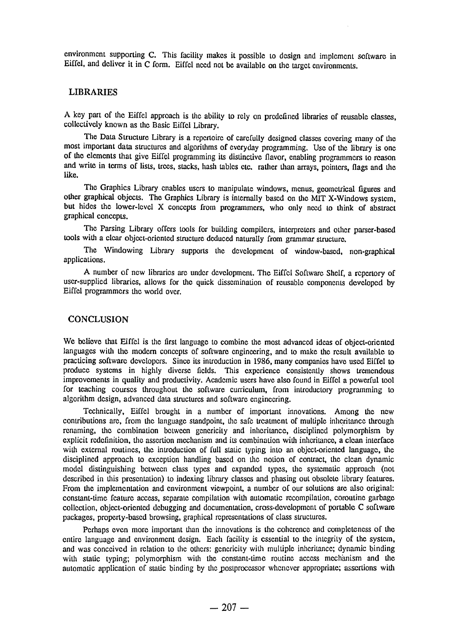environment supporting C. This facility makes it possible to design and implement software in Eiffel, and deliver it in C form. Eiffel need not be available on the target environments.

### LIBRARIES

A key part of the Eiffel approach is the ability to rely on predefined libraries of reusable classes, collectively known as the Basic Eiffcl Library.

The Data Structure Library is a repertoire of carefully designed classes covering many of the most important data structures and algorithms of everyday programming. Use of the library is one of the elements that give Eiffel programming its distinctive flavor, enabling programmers to reason and write in terms of lists, trees, stacks, hash tables ctc. rather than arrays, pointcrs, flags and the like.

Thc Graphics Library cnables users to manipulate windows, menus, geometrical figures and other graphical objects. The Graphics Library is internally based on thc MIT X-Windows systcm, but hides the lower-level X concepts from programmers, who only need to think of abstract graphical concepts.

The Parsing Library offers tools for building compilers, interpreters and other parser-based tools with a elear object-oriented structure dedueed naturally from grammar structure.

The Windowing Library supports the development of window-based, non-graphical applications.

A number of new libraries arc under development. The Eiffel Software Shelf, a repertory of user-supplied libraries, allows for the quick dissemination of reusable components developed by Eiffel programmers the world over.

# **CONCLUSION**

We believe that Eiffel is the first language to combine the most advanced ideas of object-oriented languages with the modem concepts of software engineering, and to make the result available to practicing software developers. Since its introduction in 1986, many companies have used Eiffel to produce systems in highly diverse fields. This experience consistently shows tremendous improvcments in quality and productivity. Academic users have also found in Eiffel a powerful tool for teaching courses throughout the software curriculum, from introductory programming to algorithm design, advanced data structurcs and software engineering.

Technically, Eiffel brought in a number of important innovations. Among the new contributions are, from the language standpoint, the safe treatment of multiple inheritance through renaming, the combination betwccn genericity and inheritance, disciplincd polymorphism by explicit redcfinition, the asscrtion mechanism and its combination with inheritance, a clean interface with external routines, the introduction of full static typing into an object-oriented language, the disciplined approach to exception handling based on the notion of contract, the clean dynamic model distinguishing between class types and expanded types, the systematic approach (not described in this presentation) to indexing library classes and phasing out obsolete library features. From the implementation and environment viewpoint, a number of our solutions arc also original: constant-time feature access, separate compilation with automatic rccompilation, coroutine garbage collection, object-oriented debugging and documentation, cross-development of portable C software packages, property-based browsing, graphical representations of class structures.

Perhaps even more important than the innovations is the coherence and completeness of the entire language and environment design. Each facility is essential to the integrity of the system, and was conceived in relation to the others: genericity with multiple inheritance; dynamic binding with static typing; polymorphism with the constant-time routine access mechanism and the automatic application of static binding by the postprocessor whenever appropriate; assertions with